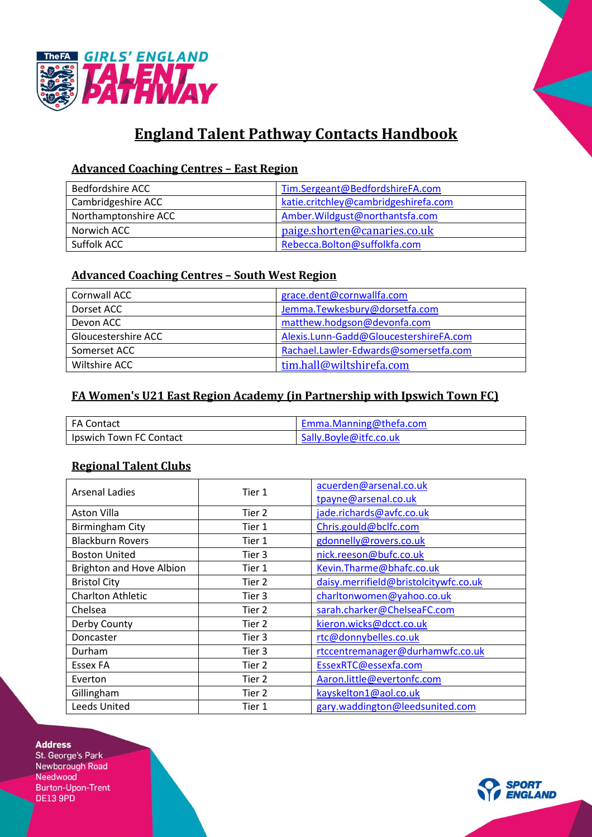



# **England Talent Pathway Contacts Handbook**

## **Advanced Coaching Centres – East Region**

| <b>Bedfordshire ACC</b> | Tim.Sergeant@BedfordshireFA.com      |
|-------------------------|--------------------------------------|
| Cambridgeshire ACC      | katie.critchley@cambridgeshirefa.com |
| Northamptonshire ACC    | Amber. Wildgust@northantsfa.com      |
| Norwich ACC             | paige.shorten@canaries.co.uk         |
| Suffolk ACC             | Rebecca.Bolton@suffolkfa.com         |

## **Advanced Coaching Centres – South West Region**

| Cornwall ACC        | grace.dent@cornwallfa.com              |  |
|---------------------|----------------------------------------|--|
| Dorset ACC          | Jemma.Tewkesbury@dorsetfa.com          |  |
| Devon ACC           | matthew.hodgson@devonfa.com            |  |
| Gloucestershire ACC | Alexis.Lunn-Gadd@GloucestershireFA.com |  |
| Somerset ACC        | Rachael.Lawler-Edwards@somersetfa.com  |  |
| Wiltshire ACC       | tim.hall@wiltshirefa.com               |  |

## **FA Women's U21 East Region Academy (in Partnership with Ipswich Town FC)**

| FA Contact              | Emma.Manning@thefa.com |
|-------------------------|------------------------|
| Ipswich Town FC Contact | Sally.Boyle@itfc.co.uk |

#### **Regional Talent Clubs**

| <b>Arsenal Ladies</b>    | Tier 1 | acuerden@arsenal.co.uk                |
|--------------------------|--------|---------------------------------------|
|                          |        | tpayne@arsenal.co.uk                  |
| Aston Villa              | Tier 2 | jade.richards@avfc.co.uk              |
| <b>Birmingham City</b>   | Tier 1 | Chris.gould@bclfc.com                 |
| <b>Blackburn Rovers</b>  | Tier 1 | gdonnelly@rovers.co.uk                |
| <b>Boston United</b>     | Tier 3 | nick.reeson@bufc.co.uk                |
| Brighton and Hove Albion | Tier 1 | Kevin.Tharme@bhafc.co.uk              |
| <b>Bristol City</b>      | Tier 2 | daisy.merrifield@bristolcitywfc.co.uk |
| <b>Charlton Athletic</b> | Tier 3 | charltonwomen@yahoo.co.uk             |
| Chelsea                  | Tier 2 | sarah.charker@ChelseaFC.com           |
| Derby County             | Tier 2 | kieron.wicks@dcct.co.uk               |
| Doncaster                | Tier 3 | rtc@donnybelles.co.uk                 |
| Durham                   | Tier 3 | rtccentremanager@durhamwfc.co.uk      |
| Essex FA                 | Tier 2 | EssexRTC@essexfa.com                  |
| Everton                  | Tier 2 | Aaron.little@evertonfc.com            |
| Gillingham               | Tier 2 | kayskelton1@aol.co.uk                 |
| <b>Leeds United</b>      | Tier 1 | gary.waddington@leedsunited.com       |

#### **Address**

St. George's Park Newborough Road Needwood **Burton-Upon-Trent DE13 9PD**